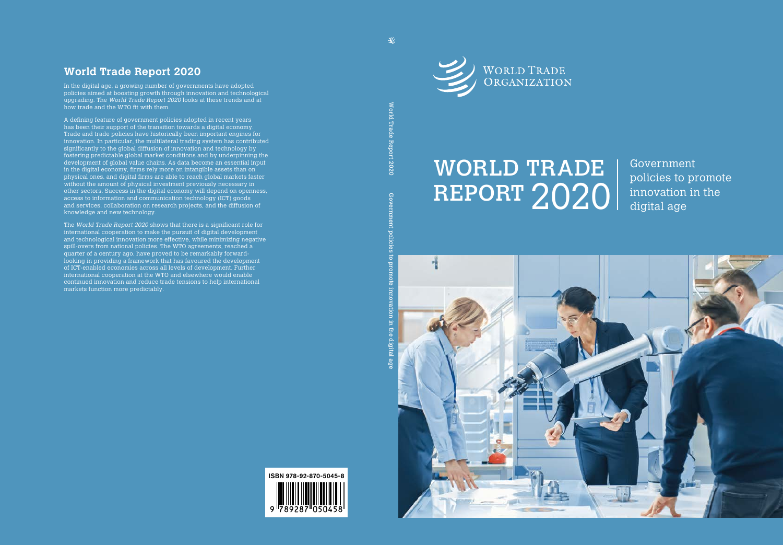

# REPORT 2020 WORLD TRADE

Government policies to promote innovation in the digital age

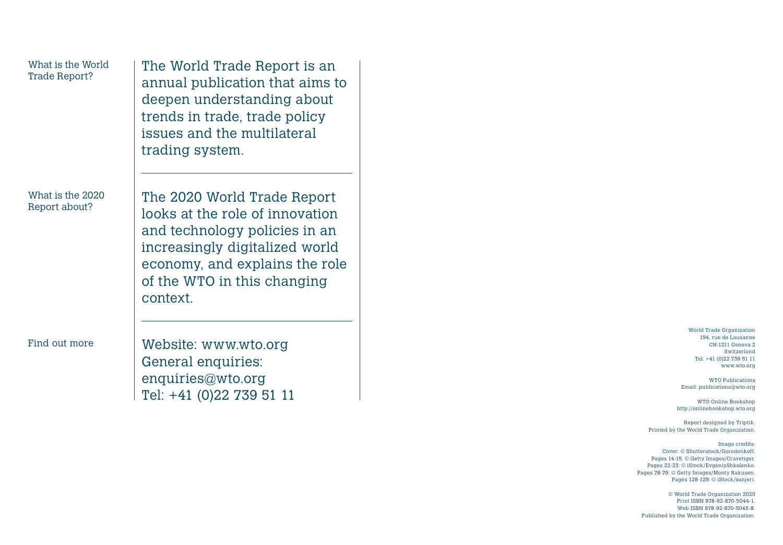## What is the World

## What is the 2020

What is the World Trade Report is an Trade Report? annual publication that aims to deepen understanding about trends in trade, trade policy issues and the multilateral trading system.

What is the 2020 The 2020 World Trade Report<br>Report about? looks at the role of innovation and technology policies in an increasingly digitalized world economy, and explains the role of the WTO in this changing context.

Find out more Website: www.wto.org General enquiries: enquiries@wto.org Tel: +41 (0)22 739 51 11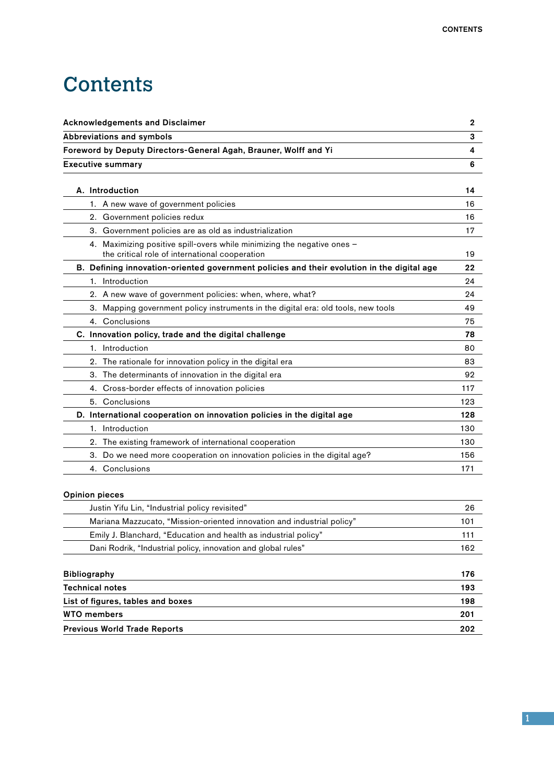## **Contents**

| <b>Acknowledgements and Disclaimer</b>                                                                                    | $\mathbf 2$ |
|---------------------------------------------------------------------------------------------------------------------------|-------------|
| Abbreviations and symbols                                                                                                 | 3           |
| Foreword by Deputy Directors-General Agah, Brauner, Wolff and Yi                                                          | 4           |
| <b>Executive summary</b>                                                                                                  | 6           |
|                                                                                                                           |             |
| A. Introduction                                                                                                           | 14          |
| 1. A new wave of government policies                                                                                      | 16          |
| 2. Government policies redux                                                                                              | 16          |
| 3. Government policies are as old as industrialization                                                                    | 17          |
| 4. Maximizing positive spill-overs while minimizing the negative ones -<br>the critical role of international cooperation | 19          |
| B. Defining innovation-oriented government policies and their evolution in the digital age                                | 22          |
| 1. Introduction                                                                                                           | 24          |
| 2. A new wave of government policies: when, where, what?                                                                  | 24          |
| 3. Mapping government policy instruments in the digital era: old tools, new tools                                         | 49          |
| 4. Conclusions                                                                                                            | 75          |
| C. Innovation policy, trade and the digital challenge                                                                     | 78          |
| 1. Introduction                                                                                                           | 80          |
| 2. The rationale for innovation policy in the digital era                                                                 | 83          |
| 3. The determinants of innovation in the digital era                                                                      | 92          |
| 4. Cross-border effects of innovation policies                                                                            | 117         |
| 5. Conclusions                                                                                                            | 123         |
| D. International cooperation on innovation policies in the digital age                                                    | 128         |
| 1. Introduction                                                                                                           | 130         |
| 2. The existing framework of international cooperation                                                                    | 130         |
| 3. Do we need more cooperation on innovation policies in the digital age?                                                 | 156         |
| 4. Conclusions                                                                                                            | 171         |
| <b>Opinion pieces</b>                                                                                                     |             |
| Justin Yifu Lin, "Industrial policy revisited"                                                                            | 26          |
| Mariana Mazzucato, "Mission-oriented innovation and industrial policy"                                                    | 101         |
| Emily J. Blanchard, "Education and health as industrial policy"                                                           | 111         |
| Dani Rodrik, "Industrial policy, innovation and global rules"                                                             | 162         |

| <b>Bibliography</b>                 | 176 |
|-------------------------------------|-----|
| <b>Technical notes</b>              | 193 |
| List of figures, tables and boxes   | 198 |
| <b>WTO members</b>                  | 201 |
| <b>Previous World Trade Reports</b> | 202 |

1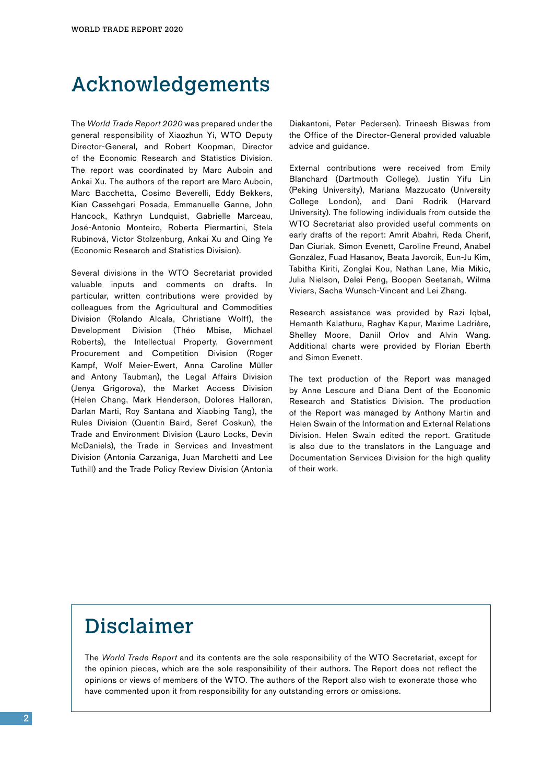#### Acknowledgements

The *World Trade Report 2020* was prepared under the general responsibility of Xiaozhun Yi, WTO Deputy Director-General, and Robert Koopman, Director of the Economic Research and Statistics Division. The report was coordinated by Marc Auboin and Ankai Xu. The authors of the report are Marc Auboin, Marc Bacchetta, Cosimo Beverelli, Eddy Bekkers, Kian Cassehgari Posada, Emmanuelle Ganne, John Hancock, Kathryn Lundquist, Gabrielle Marceau, José-Antonio Monteiro, Roberta Piermartini, Stela Rubínová, Victor Stolzenburg, Ankai Xu and Qing Ye (Economic Research and Statistics Division).

Several divisions in the WTO Secretariat provided valuable inputs and comments on drafts. In particular, written contributions were provided by colleagues from the Agricultural and Commodities Division (Rolando Alcala, Christiane Wolff), the Development Division (Théo Mbise, Michael Roberts), the Intellectual Property, Government Procurement and Competition Division (Roger Kampf, Wolf Meier-Ewert, Anna Caroline Müller and Antony Taubman), the Legal Affairs Division (Jenya Grigorova), the Market Access Division (Helen Chang, Mark Henderson, Dolores Halloran, Darlan Marti, Roy Santana and Xiaobing Tang), the Rules Division (Quentin Baird, Seref Coskun), the Trade and Environment Division (Lauro Locks, Devin McDaniels), the Trade in Services and Investment Division (Antonia Carzaniga, Juan Marchetti and Lee Tuthill) and the Trade Policy Review Division (Antonia

Diakantoni, Peter Pedersen). Trineesh Biswas from the Office of the Director-General provided valuable advice and guidance.

External contributions were received from Emily Blanchard (Dartmouth College), Justin Yifu Lin (Peking University), Mariana Mazzucato (University College London), and Dani Rodrik (Harvard University). The following individuals from outside the WTO Secretariat also provided useful comments on early drafts of the report: Amrit Abahri, Reda Cherif, Dan Ciuriak, Simon Evenett, Caroline Freund, Anabel González, Fuad Hasanov, Beata Javorcik, Eun-Ju Kim, Tabitha Kiriti, Zonglai Kou, Nathan Lane, Mia Mikic, Julia Nielson, Delei Peng, Boopen Seetanah, Wilma Viviers, Sacha Wunsch-Vincent and Lei Zhang.

Research assistance was provided by Razi Iqbal, Hemanth Kalathuru, Raghav Kapur, Maxime Ladrière, Shelley Moore, Daniil Orlov and Alvin Wang. Additional charts were provided by Florian Eberth and Simon Evenett.

The text production of the Report was managed by Anne Lescure and Diana Dent of the Economic Research and Statistics Division. The production of the Report was managed by Anthony Martin and Helen Swain of the Information and External Relations Division. Helen Swain edited the report. Gratitude is also due to the translators in the Language and Documentation Services Division for the high quality of their work.

### Disclaimer

The *World Trade Report* and its contents are the sole responsibility of the WTO Secretariat, except for the opinion pieces, which are the sole responsibility of their authors. The Report does not reflect the opinions or views of members of the WTO. The authors of the Report also wish to exonerate those who have commented upon it from responsibility for any outstanding errors or omissions.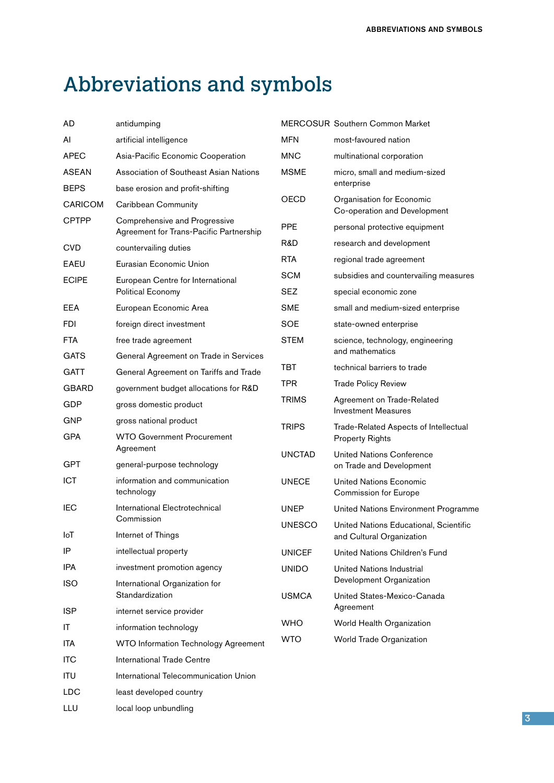## Abbreviations and symbols

| antidumping                                            |                                                                                                                                                                                                                                                                                            | MERCOSUR Southern Common Market                                                   |  |
|--------------------------------------------------------|--------------------------------------------------------------------------------------------------------------------------------------------------------------------------------------------------------------------------------------------------------------------------------------------|-----------------------------------------------------------------------------------|--|
| artificial intelligence                                | MFN                                                                                                                                                                                                                                                                                        | most-favoured nation                                                              |  |
| Asia-Pacific Economic Cooperation                      | MNC                                                                                                                                                                                                                                                                                        | multinational corporation                                                         |  |
| Association of Southeast Asian Nations                 | <b>MSME</b>                                                                                                                                                                                                                                                                                | micro, small and medium-sized                                                     |  |
| base erosion and profit-shifting                       |                                                                                                                                                                                                                                                                                            | enterprise                                                                        |  |
| Caribbean Community                                    | <b>OECD</b>                                                                                                                                                                                                                                                                                | Organisation for Economic<br>Co-operation and Development                         |  |
| Agreement for Trans-Pacific Partnership                | <b>PPE</b>                                                                                                                                                                                                                                                                                 | personal protective equipment                                                     |  |
| countervailing duties                                  | R&D                                                                                                                                                                                                                                                                                        | research and development                                                          |  |
| Eurasian Economic Union                                | RTA.                                                                                                                                                                                                                                                                                       | regional trade agreement                                                          |  |
| European Centre for International<br>Political Economy | <b>SCM</b>                                                                                                                                                                                                                                                                                 | subsidies and countervailing measures                                             |  |
|                                                        | <b>SEZ</b>                                                                                                                                                                                                                                                                                 | special economic zone                                                             |  |
| European Economic Area                                 | <b>SME</b>                                                                                                                                                                                                                                                                                 | small and medium-sized enterprise                                                 |  |
| foreign direct investment                              | <b>SOE</b>                                                                                                                                                                                                                                                                                 | state-owned enterprise                                                            |  |
| free trade agreement                                   | <b>STEM</b>                                                                                                                                                                                                                                                                                | science, technology, engineering                                                  |  |
| General Agreement on Trade in Services                 |                                                                                                                                                                                                                                                                                            | and mathematics                                                                   |  |
| General Agreement on Tariffs and Trade                 |                                                                                                                                                                                                                                                                                            | technical barriers to trade                                                       |  |
| government budget allocations for R&D                  |                                                                                                                                                                                                                                                                                            | <b>Trade Policy Review</b>                                                        |  |
| gross domestic product                                 |                                                                                                                                                                                                                                                                                            | Agreement on Trade-Related<br><b>Investment Measures</b>                          |  |
| gross national product                                 |                                                                                                                                                                                                                                                                                            | Trade-Related Aspects of Intellectual                                             |  |
| <b>WTO Government Procurement</b>                      |                                                                                                                                                                                                                                                                                            | <b>Property Rights</b>                                                            |  |
|                                                        | <b>UNCTAD</b>                                                                                                                                                                                                                                                                              | <b>United Nations Conference</b>                                                  |  |
|                                                        |                                                                                                                                                                                                                                                                                            | on Trade and Development                                                          |  |
| technology                                             |                                                                                                                                                                                                                                                                                            | <b>United Nations Economic</b><br>Commission for Europe                           |  |
| International Electrotechnical                         | <b>UNEP</b>                                                                                                                                                                                                                                                                                | United Nations Environment Programme                                              |  |
|                                                        | UNESCO                                                                                                                                                                                                                                                                                     | United Nations Educational, Scientific                                            |  |
|                                                        |                                                                                                                                                                                                                                                                                            | and Cultural Organization                                                         |  |
|                                                        | <b>UNICEF</b>                                                                                                                                                                                                                                                                              | United Nations Children's Fund                                                    |  |
|                                                        | <b>UNIDO</b>                                                                                                                                                                                                                                                                               | United Nations Industrial                                                         |  |
| Standardization                                        |                                                                                                                                                                                                                                                                                            | Development Organization<br>United States-Mexico-Canada                           |  |
| internet service provider                              |                                                                                                                                                                                                                                                                                            | Agreement                                                                         |  |
|                                                        | <b>WHO</b>                                                                                                                                                                                                                                                                                 | World Health Organization                                                         |  |
| <b>WTO Information Technology Agreement</b>            | <b>WTO</b>                                                                                                                                                                                                                                                                                 | World Trade Organization                                                          |  |
| <b>International Trade Centre</b>                      |                                                                                                                                                                                                                                                                                            |                                                                                   |  |
| International Telecommunication Union                  |                                                                                                                                                                                                                                                                                            |                                                                                   |  |
| least developed country                                |                                                                                                                                                                                                                                                                                            |                                                                                   |  |
|                                                        |                                                                                                                                                                                                                                                                                            |                                                                                   |  |
|                                                        | Comprehensive and Progressive<br>Agreement<br>general-purpose technology<br>information and communication<br>Commission<br>Internet of Things<br>intellectual property<br>investment promotion agency<br>International Organization for<br>information technology<br>local loop unbundling | TBT<br><b>TPR</b><br><b>TRIMS</b><br><b>TRIPS</b><br><b>UNECE</b><br><b>USMCA</b> |  |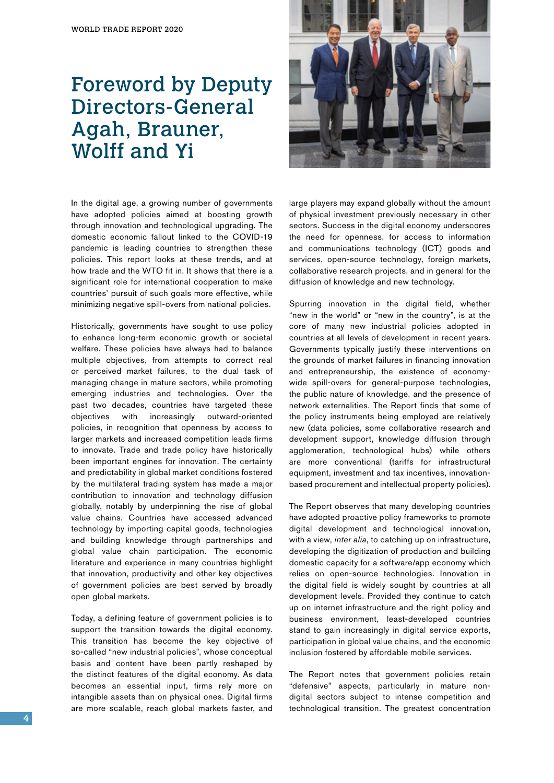### Foreword by Deputy Directors-General Agah, Brauner, Wolff and Yi

In the digital age, a growing number of governments have adopted policies aimed at boosting growth through innovation and technological upgrading. The domestic economic fallout linked to the COVID-19 pandemic is leading countries to strengthen these policies. This report looks at these trends, and at how trade and the WTO fit in. It shows that there is a significant role for international cooperation to make countries' pursuit of such goals more effective, while minimizing negative spill-overs from national policies.

Historically, governments have sought to use policy to enhance long-term economic growth or societal welfare. These policies have always had to balance multiple objectives, from attempts to correct real or perceived market failures, to the dual task of managing change in mature sectors, while promoting emerging industries and technologies. Over the past two decades, countries have targeted these objectives with increasingly outward-oriented policies, in recognition that openness by access to larger markets and increased competition leads firms to innovate. Trade and trade policy have historically been important engines for innovation. The certainty and predictability in global market conditions fostered by the multilateral trading system has made a major contribution to innovation and technology diffusion globally, notably by underpinning the rise of global value chains. Countries have accessed advanced technology by importing capital goods, technologies and building knowledge through partnerships and global value chain participation. The economic literature and experience in many countries highlight that innovation, productivity and other key objectives of government policies are best served by broadly open global markets.

Today, a defining feature of government policies is to support the transition towards the digital economy. This transition has become the key objective of so-called "new industrial policies", whose conceptual basis and content have been partly reshaped by the distinct features of the digital economy. As data becomes an essential input, firms rely more on intangible assets than on physical ones. Digital firms are more scalable, reach global markets faster, and



large players may expand globally without the amount of physical investment previously necessary in other sectors. Success in the digital economy underscores the need for openness, for access to information and communications technology (ICT) goods and services, open-source technology, foreign markets, collaborative research projects, and in general for the diffusion of knowledge and new technology.

Spurring innovation in the digital field, whether "new in the world" or "new in the country", is at the core of many new industrial policies adopted in countries at all levels of development in recent years. Governments typically justify these interventions on the grounds of market failures in financing innovation and entrepreneurship, the existence of economywide spill-overs for general-purpose technologies, the public nature of knowledge, and the presence of network externalities. The Report finds that some of the policy instruments being employed are relatively new (data policies, some collaborative research and development support, knowledge diffusion through agglomeration, technological hubs) while others are more conventional (tariffs for infrastructural equipment, investment and tax incentives, innovationbased procurement and intellectual property policies).

The Report observes that many developing countries have adopted proactive policy frameworks to promote digital development and technological innovation, with a view, *inter alia*, to catching up on infrastructure, developing the digitization of production and building domestic capacity for a software/app economy which relies on open-source technologies. Innovation in the digital field is widely sought by countries at all development levels. Provided they continue to catch up on internet infrastructure and the right policy and business environment, least-developed countries stand to gain increasingly in digital service exports, participation in global value chains, and the economic inclusion fostered by affordable mobile services.

The Report notes that government policies retain "defensive" aspects, particularly in mature nondigital sectors subject to intense competition and technological transition. The greatest concentration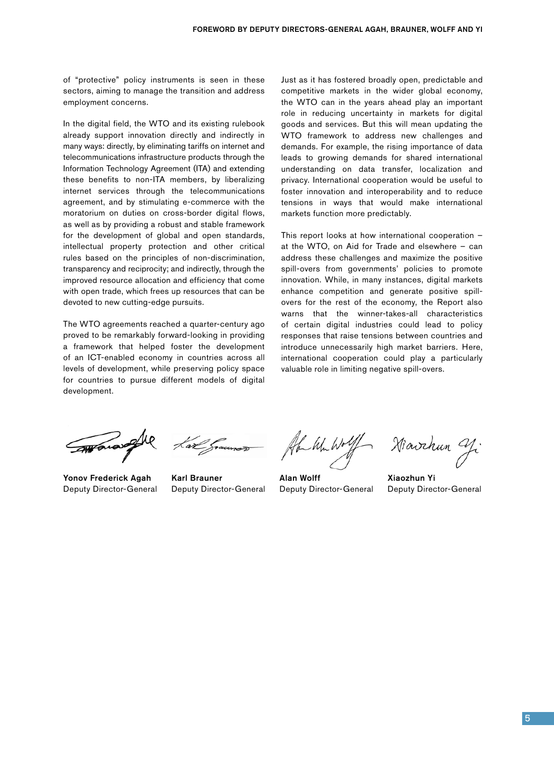of "protective" policy instruments is seen in these sectors, aiming to manage the transition and address employment concerns.

In the digital field, the WTO and its existing rulebook already support innovation directly and indirectly in many ways: directly, by eliminating tariffs on internet and telecommunications infrastructure products through the Information Technology Agreement (ITA) and extending these benefits to non-ITA members, by liberalizing internet services through the telecommunications agreement, and by stimulating e-commerce with the moratorium on duties on cross-border digital flows, as well as by providing a robust and stable framework for the development of global and open standards, intellectual property protection and other critical rules based on the principles of non-discrimination, transparency and reciprocity; and indirectly, through the improved resource allocation and efficiency that come with open trade, which frees up resources that can be devoted to new cutting-edge pursuits.

The WTO agreements reached a quarter-century ago proved to be remarkably forward-looking in providing a framework that helped foster the development of an ICT-enabled economy in countries across all levels of development, while preserving policy space for countries to pursue different models of digital development.

Just as it has fostered broadly open, predictable and competitive markets in the wider global economy, the WTO can in the years ahead play an important role in reducing uncertainty in markets for digital goods and services. But this will mean updating the WTO framework to address new challenges and demands. For example, the rising importance of data leads to growing demands for shared international understanding on data transfer, localization and privacy. International cooperation would be useful to foster innovation and interoperability and to reduce tensions in ways that would make international markets function more predictably.

This report looks at how international cooperation – at the WTO, on Aid for Trade and elsewhere – can address these challenges and maximize the positive spill-overs from governments' policies to promote innovation. While, in many instances, digital markets enhance competition and generate positive spillovers for the rest of the economy, the Report also warns that the winner-takes-all characteristics of certain digital industries could lead to policy responses that raise tensions between countries and introduce unnecessarily high market barriers. Here, international cooperation could play a particularly valuable role in limiting negative spill-overs.

Yonov Frederick Agah Deputy Director-General

Karl Brauner Deputy Director-General

the White

Alan Wolff Deputy Director-General

Hiavchun Y.

Xiaozhun Yi Deputy Director-General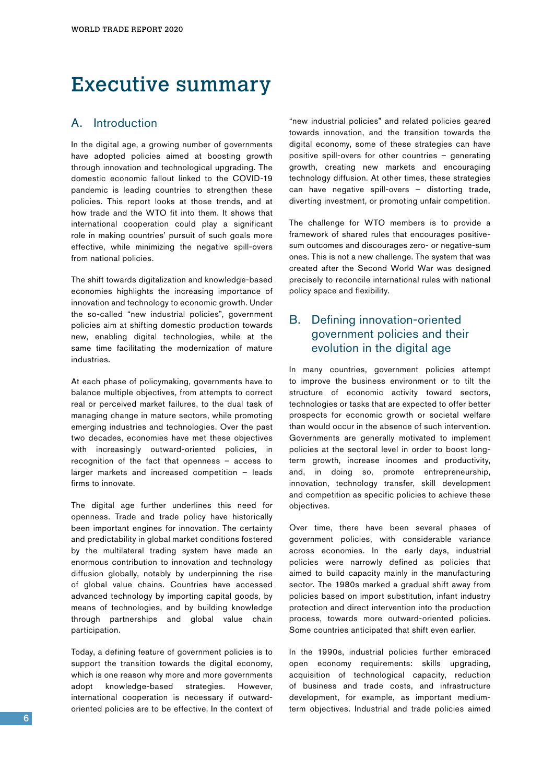#### Executive summary

#### A. Introduction

In the digital age, a growing number of governments have adopted policies aimed at boosting growth through innovation and technological upgrading. The domestic economic fallout linked to the COVID-19 pandemic is leading countries to strengthen these policies. This report looks at those trends, and at how trade and the WTO fit into them. It shows that international cooperation could play a significant role in making countries' pursuit of such goals more effective, while minimizing the negative spill-overs from national policies.

The shift towards digitalization and knowledge-based economies highlights the increasing importance of innovation and technology to economic growth. Under the so-called "new industrial policies", government policies aim at shifting domestic production towards new, enabling digital technologies, while at the same time facilitating the modernization of mature industries.

At each phase of policymaking, governments have to balance multiple objectives, from attempts to correct real or perceived market failures, to the dual task of managing change in mature sectors, while promoting emerging industries and technologies. Over the past two decades, economies have met these objectives with increasingly outward-oriented policies, in recognition of the fact that openness – access to larger markets and increased competition – leads firms to innovate.

The digital age further underlines this need for openness. Trade and trade policy have historically been important engines for innovation. The certainty and predictability in global market conditions fostered by the multilateral trading system have made an enormous contribution to innovation and technology diffusion globally, notably by underpinning the rise of global value chains. Countries have accessed advanced technology by importing capital goods, by means of technologies, and by building knowledge through partnerships and global value chain participation.

Today, a defining feature of government policies is to support the transition towards the digital economy, which is one reason why more and more governments adopt knowledge-based strategies. However, international cooperation is necessary if outwardoriented policies are to be effective. In the context of

"new industrial policies" and related policies geared towards innovation, and the transition towards the digital economy, some of these strategies can have positive spill-overs for other countries – generating growth, creating new markets and encouraging technology diffusion. At other times, these strategies can have negative spill-overs – distorting trade, diverting investment, or promoting unfair competition.

The challenge for WTO members is to provide a framework of shared rules that encourages positivesum outcomes and discourages zero- or negative-sum ones. This is not a new challenge. The system that was created after the Second World War was designed precisely to reconcile international rules with national policy space and flexibility.

#### B. Defining innovation-oriented government policies and their evolution in the digital age

In many countries, government policies attempt to improve the business environment or to tilt the structure of economic activity toward sectors, technologies or tasks that are expected to offer better prospects for economic growth or societal welfare than would occur in the absence of such intervention. Governments are generally motivated to implement policies at the sectoral level in order to boost longterm growth, increase incomes and productivity, and, in doing so, promote entrepreneurship, innovation, technology transfer, skill development and competition as specific policies to achieve these objectives.

Over time, there have been several phases of government policies, with considerable variance across economies. In the early days, industrial policies were narrowly defined as policies that aimed to build capacity mainly in the manufacturing sector. The 1980s marked a gradual shift away from policies based on import substitution, infant industry protection and direct intervention into the production process, towards more outward-oriented policies. Some countries anticipated that shift even earlier.

In the 1990s, industrial policies further embraced open economy requirements: skills upgrading, acquisition of technological capacity, reduction of business and trade costs, and infrastructure development, for example, as important mediumterm objectives. Industrial and trade policies aimed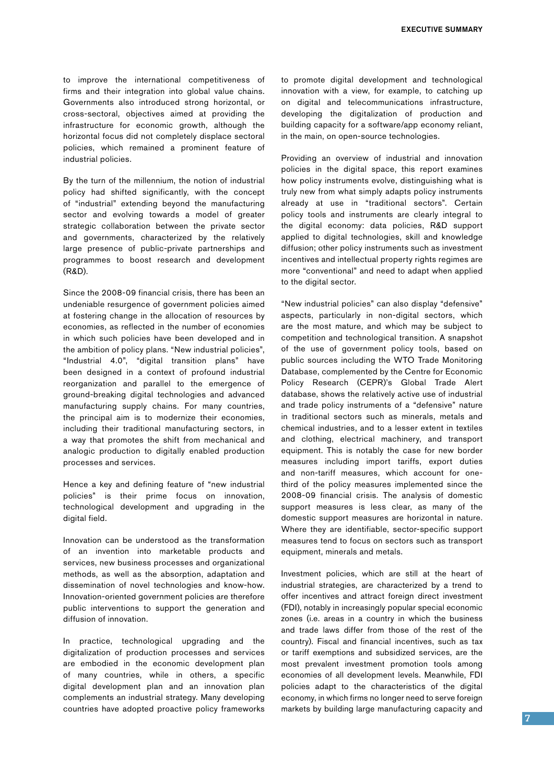to improve the international competitiveness of firms and their integration into global value chains. Governments also introduced strong horizontal, or cross-sectoral, objectives aimed at providing the infrastructure for economic growth, although the horizontal focus did not completely displace sectoral policies, which remained a prominent feature of industrial policies.

By the turn of the millennium, the notion of industrial policy had shifted significantly, with the concept of "industrial" extending beyond the manufacturing sector and evolving towards a model of greater strategic collaboration between the private sector and governments, characterized by the relatively large presence of public-private partnerships and programmes to boost research and development (R&D).

Since the 2008-09 financial crisis, there has been an undeniable resurgence of government policies aimed at fostering change in the allocation of resources by economies, as reflected in the number of economies in which such policies have been developed and in the ambition of policy plans. "New industrial policies", "Industrial 4.0", "digital transition plans" have been designed in a context of profound industrial reorganization and parallel to the emergence of ground-breaking digital technologies and advanced manufacturing supply chains. For many countries, the principal aim is to modernize their economies, including their traditional manufacturing sectors, in a way that promotes the shift from mechanical and analogic production to digitally enabled production processes and services.

Hence a key and defining feature of "new industrial policies" is their prime focus on innovation, technological development and upgrading in the digital field.

Innovation can be understood as the transformation of an invention into marketable products and services, new business processes and organizational methods, as well as the absorption, adaptation and dissemination of novel technologies and know-how. Innovation-oriented government policies are therefore public interventions to support the generation and diffusion of innovation.

In practice, technological upgrading and the digitalization of production processes and services are embodied in the economic development plan of many countries, while in others, a specific digital development plan and an innovation plan complements an industrial strategy. Many developing countries have adopted proactive policy frameworks to promote digital development and technological innovation with a view, for example, to catching up on digital and telecommunications infrastructure, developing the digitalization of production and building capacity for a software/app economy reliant, in the main, on open-source technologies.

Providing an overview of industrial and innovation policies in the digital space, this report examines how policy instruments evolve, distinguishing what is truly new from what simply adapts policy instruments already at use in "traditional sectors". Certain policy tools and instruments are clearly integral to the digital economy: data policies, R&D support applied to digital technologies, skill and knowledge diffusion; other policy instruments such as investment incentives and intellectual property rights regimes are more "conventional" and need to adapt when applied to the digital sector.

"New industrial policies" can also display "defensive" aspects, particularly in non-digital sectors, which are the most mature, and which may be subject to competition and technological transition. A snapshot of the use of government policy tools, based on public sources including the WTO Trade Monitoring Database, complemented by the Centre for Economic Policy Research (CEPR)'s Global Trade Alert database, shows the relatively active use of industrial and trade policy instruments of a "defensive" nature in traditional sectors such as minerals, metals and chemical industries, and to a lesser extent in textiles and clothing, electrical machinery, and transport equipment. This is notably the case for new border measures including import tariffs, export duties and non-tariff measures, which account for onethird of the policy measures implemented since the 2008-09 financial crisis. The analysis of domestic support measures is less clear, as many of the domestic support measures are horizontal in nature. Where they are identifiable, sector-specific support measures tend to focus on sectors such as transport equipment, minerals and metals.

Investment policies, which are still at the heart of industrial strategies, are characterized by a trend to offer incentives and attract foreign direct investment (FDI), notably in increasingly popular special economic zones (i.e. areas in a country in which the business and trade laws differ from those of the rest of the country). Fiscal and financial incentives, such as tax or tariff exemptions and subsidized services, are the most prevalent investment promotion tools among economies of all development levels. Meanwhile, FDI policies adapt to the characteristics of the digital economy, in which firms no longer need to serve foreign markets by building large manufacturing capacity and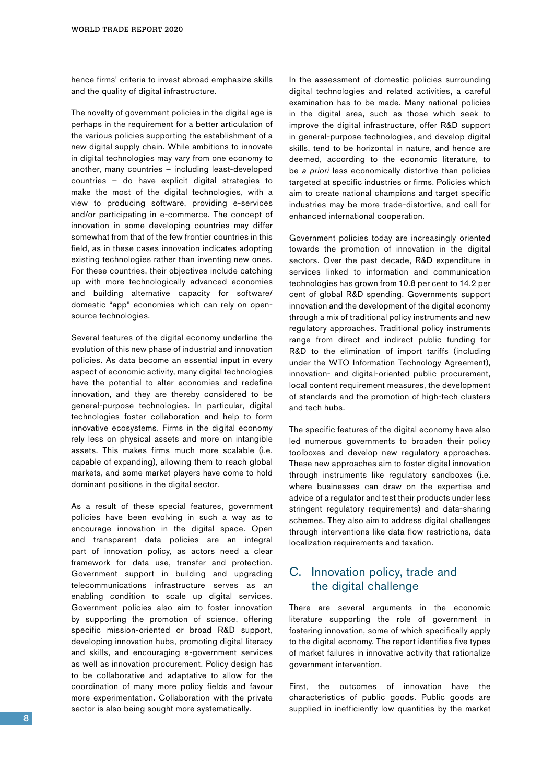hence firms' criteria to invest abroad emphasize skills and the quality of digital infrastructure.

The novelty of government policies in the digital age is perhaps in the requirement for a better articulation of the various policies supporting the establishment of a new digital supply chain. While ambitions to innovate in digital technologies may vary from one economy to another, many countries – including least-developed countries – do have explicit digital strategies to make the most of the digital technologies, with a view to producing software, providing e-services and/or participating in e-commerce. The concept of innovation in some developing countries may differ somewhat from that of the few frontier countries in this field, as in these cases innovation indicates adopting existing technologies rather than inventing new ones. For these countries, their objectives include catching up with more technologically advanced economies and building alternative capacity for software/ domestic "app" economies which can rely on opensource technologies.

Several features of the digital economy underline the evolution of this new phase of industrial and innovation policies. As data become an essential input in every aspect of economic activity, many digital technologies have the potential to alter economies and redefine innovation, and they are thereby considered to be general-purpose technologies. In particular, digital technologies foster collaboration and help to form innovative ecosystems. Firms in the digital economy rely less on physical assets and more on intangible assets. This makes firms much more scalable (i.e. capable of expanding), allowing them to reach global markets, and some market players have come to hold dominant positions in the digital sector.

As a result of these special features, government policies have been evolving in such a way as to encourage innovation in the digital space. Open and transparent data policies are an integral part of innovation policy, as actors need a clear framework for data use, transfer and protection. Government support in building and upgrading telecommunications infrastructure serves as an enabling condition to scale up digital services. Government policies also aim to foster innovation by supporting the promotion of science, offering specific mission-oriented or broad R&D support, developing innovation hubs, promoting digital literacy and skills, and encouraging e-government services as well as innovation procurement. Policy design has to be collaborative and adaptative to allow for the coordination of many more policy fields and favour more experimentation. Collaboration with the private sector is also being sought more systematically.

In the assessment of domestic policies surrounding digital technologies and related activities, a careful examination has to be made. Many national policies in the digital area, such as those which seek to improve the digital infrastructure, offer R&D support in general-purpose technologies, and develop digital skills, tend to be horizontal in nature, and hence are deemed, according to the economic literature, to be *a priori* less economically distortive than policies targeted at specific industries or firms. Policies which aim to create national champions and target specific industries may be more trade-distortive, and call for enhanced international cooperation.

Government policies today are increasingly oriented towards the promotion of innovation in the digital sectors. Over the past decade, R&D expenditure in services linked to information and communication technologies has grown from 10.8 per cent to 14.2 per cent of global R&D spending. Governments support innovation and the development of the digital economy through a mix of traditional policy instruments and new regulatory approaches. Traditional policy instruments range from direct and indirect public funding for R&D to the elimination of import tariffs (including under the WTO Information Technology Agreement), innovation- and digital-oriented public procurement, local content requirement measures, the development of standards and the promotion of high-tech clusters and tech hubs.

The specific features of the digital economy have also led numerous governments to broaden their policy toolboxes and develop new regulatory approaches. These new approaches aim to foster digital innovation through instruments like regulatory sandboxes (i.e. where businesses can draw on the expertise and advice of a regulator and test their products under less stringent regulatory requirements) and data-sharing schemes. They also aim to address digital challenges through interventions like data flow restrictions, data localization requirements and taxation.

#### C. Innovation policy, trade and the digital challenge

There are several arguments in the economic literature supporting the role of government in fostering innovation, some of which specifically apply to the digital economy. The report identifies five types of market failures in innovative activity that rationalize government intervention.

First, the outcomes of innovation have the characteristics of public goods. Public goods are supplied in inefficiently low quantities by the market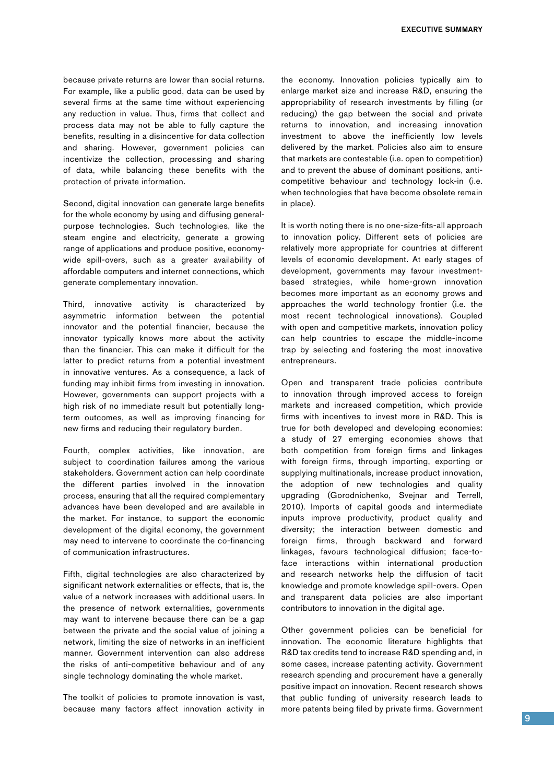because private returns are lower than social returns. For example, like a public good, data can be used by several firms at the same time without experiencing any reduction in value. Thus, firms that collect and process data may not be able to fully capture the benefits, resulting in a disincentive for data collection and sharing. However, government policies can incentivize the collection, processing and sharing of data, while balancing these benefits with the protection of private information.

Second, digital innovation can generate large benefits for the whole economy by using and diffusing generalpurpose technologies. Such technologies, like the steam engine and electricity, generate a growing range of applications and produce positive, economywide spill-overs, such as a greater availability of affordable computers and internet connections, which generate complementary innovation.

Third, innovative activity is characterized by asymmetric information between the potential innovator and the potential financier, because the innovator typically knows more about the activity than the financier. This can make it difficult for the latter to predict returns from a potential investment in innovative ventures. As a consequence, a lack of funding may inhibit firms from investing in innovation. However, governments can support projects with a high risk of no immediate result but potentially longterm outcomes, as well as improving financing for new firms and reducing their regulatory burden.

Fourth, complex activities, like innovation, are subject to coordination failures among the various stakeholders. Government action can help coordinate the different parties involved in the innovation process, ensuring that all the required complementary advances have been developed and are available in the market. For instance, to support the economic development of the digital economy, the government may need to intervene to coordinate the co-financing of communication infrastructures.

Fifth, digital technologies are also characterized by significant network externalities or effects, that is, the value of a network increases with additional users. In the presence of network externalities, governments may want to intervene because there can be a gap between the private and the social value of joining a network, limiting the size of networks in an inefficient manner. Government intervention can also address the risks of anti-competitive behaviour and of any single technology dominating the whole market.

The toolkit of policies to promote innovation is vast, because many factors affect innovation activity in the economy. Innovation policies typically aim to enlarge market size and increase R&D, ensuring the appropriability of research investments by filling (or reducing) the gap between the social and private returns to innovation, and increasing innovation investment to above the inefficiently low levels delivered by the market. Policies also aim to ensure that markets are contestable (i.e. open to competition) and to prevent the abuse of dominant positions, anticompetitive behaviour and technology lock-in (i.e. when technologies that have become obsolete remain in place).

It is worth noting there is no one-size-fits-all approach to innovation policy. Different sets of policies are relatively more appropriate for countries at different levels of economic development. At early stages of development, governments may favour investmentbased strategies, while home-grown innovation becomes more important as an economy grows and approaches the world technology frontier (i.e. the most recent technological innovations). Coupled with open and competitive markets, innovation policy can help countries to escape the middle-income trap by selecting and fostering the most innovative entrepreneurs.

Open and transparent trade policies contribute to innovation through improved access to foreign markets and increased competition, which provide firms with incentives to invest more in R&D. This is true for both developed and developing economies: a study of 27 emerging economies shows that both competition from foreign firms and linkages with foreign firms, through importing, exporting or supplying multinationals, increase product innovation, the adoption of new technologies and quality upgrading (Gorodnichenko, Svejnar and Terrell, 2010). Imports of capital goods and intermediate inputs improve productivity, product quality and diversity; the interaction between domestic and foreign firms, through backward and forward linkages, favours technological diffusion; face-toface interactions within international production and research networks help the diffusion of tacit knowledge and promote knowledge spill-overs. Open and transparent data policies are also important contributors to innovation in the digital age.

Other government policies can be beneficial for innovation. The economic literature highlights that R&D tax credits tend to increase R&D spending and, in some cases, increase patenting activity. Government research spending and procurement have a generally positive impact on innovation. Recent research shows that public funding of university research leads to more patents being filed by private firms. Government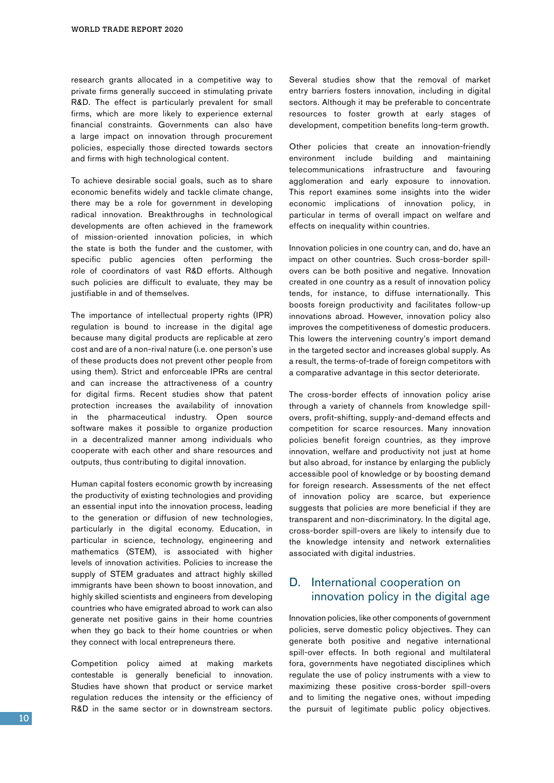research grants allocated in a competitive way to private firms generally succeed in stimulating private R&D. The effect is particularly prevalent for small firms, which are more likely to experience external financial constraints. Governments can also have a large impact on innovation through procurement policies, especially those directed towards sectors and firms with high technological content.

To achieve desirable social goals, such as to share economic benefits widely and tackle climate change, there may be a role for government in developing radical innovation. Breakthroughs in technological developments are often achieved in the framework of mission-oriented innovation policies, in which the state is both the funder and the customer, with specific public agencies often performing the role of coordinators of vast R&D efforts. Although such policies are difficult to evaluate, they may be justifiable in and of themselves.

The importance of intellectual property rights (IPR) regulation is bound to increase in the digital age because many digital products are replicable at zero cost and are of a non-rival nature (i.e. one person's use of these products does not prevent other people from using them). Strict and enforceable IPRs are central and can increase the attractiveness of a country for digital firms. Recent studies show that patent protection increases the availability of innovation in the pharmaceutical industry. Open source software makes it possible to organize production in a decentralized manner among individuals who cooperate with each other and share resources and outputs, thus contributing to digital innovation.

Human capital fosters economic growth by increasing the productivity of existing technologies and providing an essential input into the innovation process, leading to the generation or diffusion of new technologies, particularly in the digital economy. Education, in particular in science, technology, engineering and mathematics (STEM), is associated with higher levels of innovation activities. Policies to increase the supply of STEM graduates and attract highly skilled immigrants have been shown to boost innovation, and highly skilled scientists and engineers from developing countries who have emigrated abroad to work can also generate net positive gains in their home countries when they go back to their home countries or when they connect with local entrepreneurs there.

Competition policy aimed at making markets contestable is generally beneficial to innovation. Studies have shown that product or service market regulation reduces the intensity or the efficiency of R&D in the same sector or in downstream sectors. Several studies show that the removal of market entry barriers fosters innovation, including in digital sectors. Although it may be preferable to concentrate resources to foster growth at early stages of development, competition benefits long-term growth.

Other policies that create an innovation-friendly environment include building and maintaining telecommunications infrastructure and favouring agglomeration and early exposure to innovation. This report examines some insights into the wider economic implications of innovation policy, in particular in terms of overall impact on welfare and effects on inequality within countries.

Innovation policies in one country can, and do, have an impact on other countries. Such cross-border spillovers can be both positive and negative. Innovation created in one country as a result of innovation policy tends, for instance, to diffuse internationally. This boosts foreign productivity and facilitates follow-up innovations abroad. However, innovation policy also improves the competitiveness of domestic producers. This lowers the intervening country's import demand in the targeted sector and increases global supply. As a result, the terms-of-trade of foreign competitors with a comparative advantage in this sector deteriorate.

The cross-border effects of innovation policy arise through a variety of channels from knowledge spillovers, profit-shifting, supply-and-demand effects and competition for scarce resources. Many innovation policies benefit foreign countries, as they improve innovation, welfare and productivity not just at home but also abroad, for instance by enlarging the publicly accessible pool of knowledge or by boosting demand for foreign research. Assessments of the net effect of innovation policy are scarce, but experience suggests that policies are more beneficial if they are transparent and non-discriminatory. In the digital age, cross-border spill-overs are likely to intensify due to the knowledge intensity and network externalities associated with digital industries.

#### D. International cooperation on innovation policy in the digital age

Innovation policies, like other components of government policies, serve domestic policy objectives. They can generate both positive and negative international spill-over effects. In both regional and multilateral fora, governments have negotiated disciplines which regulate the use of policy instruments with a view to maximizing these positive cross-border spill-overs and to limiting the negative ones, without impeding the pursuit of legitimate public policy objectives.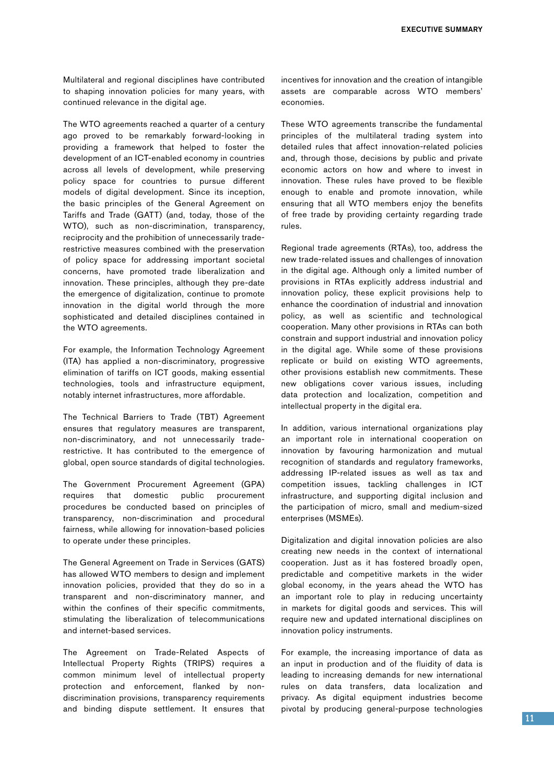Multilateral and regional disciplines have contributed to shaping innovation policies for many years, with continued relevance in the digital age.

The WTO agreements reached a quarter of a century ago proved to be remarkably forward-looking in providing a framework that helped to foster the development of an ICT-enabled economy in countries across all levels of development, while preserving policy space for countries to pursue different models of digital development. Since its inception, the basic principles of the General Agreement on Tariffs and Trade (GATT) (and, today, those of the WTO), such as non-discrimination, transparency, reciprocity and the prohibition of unnecessarily traderestrictive measures combined with the preservation of policy space for addressing important societal concerns, have promoted trade liberalization and innovation. These principles, although they pre-date the emergence of digitalization, continue to promote innovation in the digital world through the more sophisticated and detailed disciplines contained in the WTO agreements.

For example, the Information Technology Agreement (ITA) has applied a non-discriminatory, progressive elimination of tariffs on ICT goods, making essential technologies, tools and infrastructure equipment, notably internet infrastructures, more affordable.

The Technical Barriers to Trade (TBT) Agreement ensures that regulatory measures are transparent, non-discriminatory, and not unnecessarily traderestrictive. It has contributed to the emergence of global, open source standards of digital technologies.

The Government Procurement Agreement (GPA) requires that domestic public procurement procedures be conducted based on principles of transparency, non-discrimination and procedural fairness, while allowing for innovation-based policies to operate under these principles.

The General Agreement on Trade in Services (GATS) has allowed WTO members to design and implement innovation policies, provided that they do so in a transparent and non-discriminatory manner, and within the confines of their specific commitments, stimulating the liberalization of telecommunications and internet-based services.

The Agreement on Trade-Related Aspects of Intellectual Property Rights (TRIPS) requires a common minimum level of intellectual property protection and enforcement, flanked by nondiscrimination provisions, transparency requirements and binding dispute settlement. It ensures that incentives for innovation and the creation of intangible assets are comparable across WTO members' economies.

These WTO agreements transcribe the fundamental principles of the multilateral trading system into detailed rules that affect innovation-related policies and, through those, decisions by public and private economic actors on how and where to invest in innovation. These rules have proved to be flexible enough to enable and promote innovation, while ensuring that all WTO members enjoy the benefits of free trade by providing certainty regarding trade rules.

Regional trade agreements (RTAs), too, address the new trade-related issues and challenges of innovation in the digital age. Although only a limited number of provisions in RTAs explicitly address industrial and innovation policy, these explicit provisions help to enhance the coordination of industrial and innovation policy, as well as scientific and technological cooperation. Many other provisions in RTAs can both constrain and support industrial and innovation policy in the digital age. While some of these provisions replicate or build on existing WTO agreements, other provisions establish new commitments. These new obligations cover various issues, including data protection and localization, competition and intellectual property in the digital era.

In addition, various international organizations play an important role in international cooperation on innovation by favouring harmonization and mutual recognition of standards and regulatory frameworks, addressing IP-related issues as well as tax and competition issues, tackling challenges in ICT infrastructure, and supporting digital inclusion and the participation of micro, small and medium-sized enterprises (MSMEs).

Digitalization and digital innovation policies are also creating new needs in the context of international cooperation. Just as it has fostered broadly open, predictable and competitive markets in the wider global economy, in the years ahead the WTO has an important role to play in reducing uncertainty in markets for digital goods and services. This will require new and updated international disciplines on innovation policy instruments.

For example, the increasing importance of data as an input in production and of the fluidity of data is leading to increasing demands for new international rules on data transfers, data localization and privacy. As digital equipment industries become pivotal by producing general-purpose technologies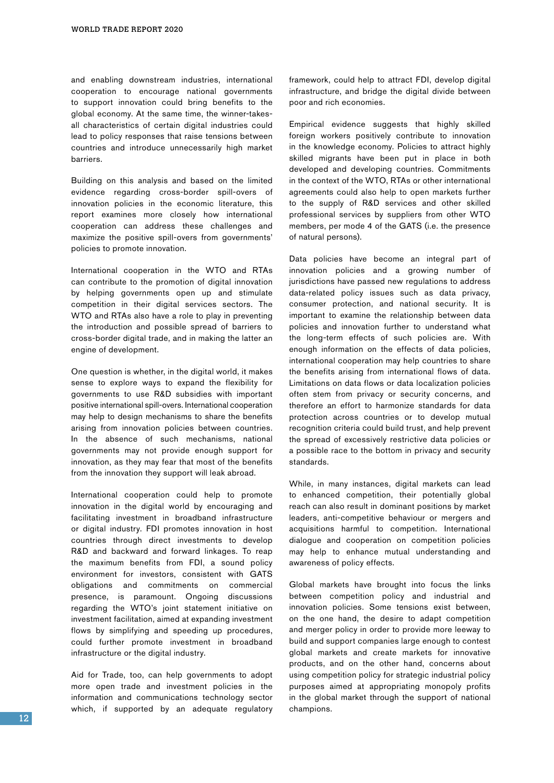and enabling downstream industries, international cooperation to encourage national governments to support innovation could bring benefits to the global economy. At the same time, the winner-takesall characteristics of certain digital industries could lead to policy responses that raise tensions between countries and introduce unnecessarily high market barriers.

Building on this analysis and based on the limited evidence regarding cross-border spill-overs of innovation policies in the economic literature, this report examines more closely how international cooperation can address these challenges and maximize the positive spill-overs from governments' policies to promote innovation.

International cooperation in the WTO and RTAs can contribute to the promotion of digital innovation by helping governments open up and stimulate competition in their digital services sectors. The WTO and RTAs also have a role to play in preventing the introduction and possible spread of barriers to cross-border digital trade, and in making the latter an engine of development.

One question is whether, in the digital world, it makes sense to explore ways to expand the flexibility for governments to use R&D subsidies with important positive international spill-overs. International cooperation may help to design mechanisms to share the benefits arising from innovation policies between countries. In the absence of such mechanisms, national governments may not provide enough support for innovation, as they may fear that most of the benefits from the innovation they support will leak abroad.

International cooperation could help to promote innovation in the digital world by encouraging and facilitating investment in broadband infrastructure or digital industry. FDI promotes innovation in host countries through direct investments to develop R&D and backward and forward linkages. To reap the maximum benefits from FDI, a sound policy environment for investors, consistent with GATS obligations and commitments on commercial presence, is paramount. Ongoing discussions regarding the WTO's joint statement initiative on investment facilitation, aimed at expanding investment flows by simplifying and speeding up procedures, could further promote investment in broadband infrastructure or the digital industry.

Aid for Trade, too, can help governments to adopt more open trade and investment policies in the information and communications technology sector which, if supported by an adequate regulatory framework, could help to attract FDI, develop digital infrastructure, and bridge the digital divide between poor and rich economies.

Empirical evidence suggests that highly skilled foreign workers positively contribute to innovation in the knowledge economy. Policies to attract highly skilled migrants have been put in place in both developed and developing countries. Commitments in the context of the WTO, RTAs or other international agreements could also help to open markets further to the supply of R&D services and other skilled professional services by suppliers from other WTO members, per mode 4 of the GATS (i.e. the presence of natural persons).

Data policies have become an integral part of innovation policies and a growing number of jurisdictions have passed new regulations to address data-related policy issues such as data privacy, consumer protection, and national security. It is important to examine the relationship between data policies and innovation further to understand what the long-term effects of such policies are. With enough information on the effects of data policies, international cooperation may help countries to share the benefits arising from international flows of data. Limitations on data flows or data localization policies often stem from privacy or security concerns, and therefore an effort to harmonize standards for data protection across countries or to develop mutual recognition criteria could build trust, and help prevent the spread of excessively restrictive data policies or a possible race to the bottom in privacy and security standards.

While, in many instances, digital markets can lead to enhanced competition, their potentially global reach can also result in dominant positions by market leaders, anti-competitive behaviour or mergers and acquisitions harmful to competition. International dialogue and cooperation on competition policies may help to enhance mutual understanding and awareness of policy effects.

Global markets have brought into focus the links between competition policy and industrial and innovation policies. Some tensions exist between, on the one hand, the desire to adapt competition and merger policy in order to provide more leeway to build and support companies large enough to contest global markets and create markets for innovative products, and on the other hand, concerns about using competition policy for strategic industrial policy purposes aimed at appropriating monopoly profits in the global market through the support of national champions.